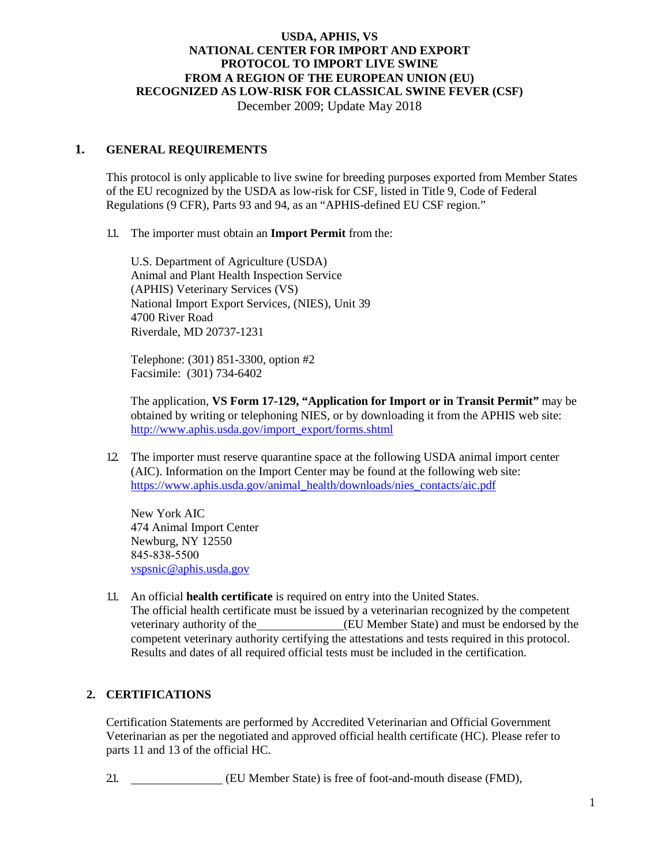December 2009; Update May 2018

### **1. GENERAL REQUIREMENTS**

This protocol is only applicable to live swine for breeding purposes exported from Member States of the EU recognized by the USDA as low-risk for CSF, listed in Title 9, Code of Federal Regulations (9 CFR), Parts 93 and 94, as an "APHIS-defined EU CSF region."

#### 1.1. The importer must obtain an **Import Permit** from the:

U.S. Department of Agriculture (USDA) Animal and Plant Health Inspection Service (APHIS) Veterinary Services (VS) National Import Export Services, (NIES), Unit 39 4700 River Road Riverdale, MD 20737-1231

Telephone: (301) 851-3300, option #2 Facsimile: (301) 734-6402

The application, **VS Form 17-129, "Application for Import or in Transit Permit"** may be obtained by writing or telephoning NIES, or by downloading it from the APHIS web site: [http://www.aphis.usda.gov/import\\_export/forms.shtml](http://www.aphis.usda.gov/import_export/forms.shtml)

1.2. The importer must reserve quarantine space at the following USDA animal import center (AIC). Information on the Import Center may be found at the following web site: [https://www.aphis.usda.gov/animal\\_health/downloads/nies\\_contacts/aic.pdf](https://www.aphis.usda.gov/animal_health/downloads/nies_contacts/aic.pdf)

New York AIC 474 Animal Import Center Newburg, NY 12550 845‐838‐5500 [vspsnic@aphis.usda.gov](mailto:vspsnic@aphis.usda.gov)

1.1. An official **health certificate** is required on entry into the United States. The official health certificate must be issued by a veterinarian recognized by the competent veterinary authority of the (EU Member State) and must be endorsed by the competent veterinary authority certifying the attestations and tests required in this protocol. Results and dates of all required official tests must be included in the certification.

### **2. CERTIFICATIONS**

Certification Statements are performed by Accredited Veterinarian and Official Government Veterinarian as per the negotiated and approved official health certificate (HC). Please refer to parts 11 and 13 of the official HC.

2.1. (EU Member State) is free of foot-and-mouth disease (FMD),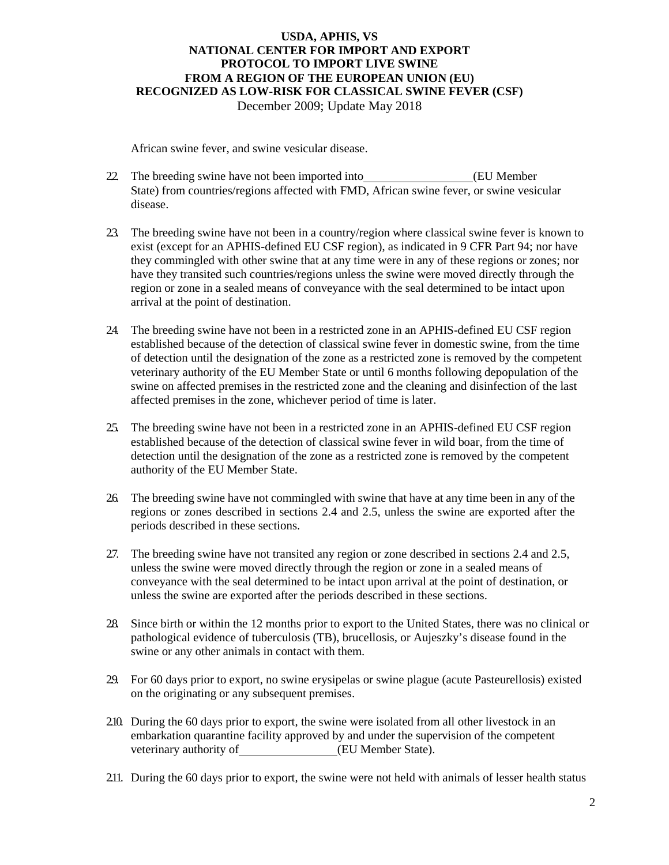African swine fever, and swine vesicular disease.

- 22 The breeding swine have not been imported into (EU Member) State) from countries/regions affected with FMD, African swine fever, or swine vesicular disease.
- 2.3. The breeding swine have not been in a country/region where classical swine fever is known to exist (except for an APHIS-defined EU CSF region), as indicated in 9 CFR Part 94; nor have they commingled with other swine that at any time were in any of these regions or zones; nor have they transited such countries/regions unless the swine were moved directly through the region or zone in a sealed means of conveyance with the seal determined to be intact upon arrival at the point of destination.
- 2.4. The breeding swine have not been in a restricted zone in an APHIS-defined EU CSF region established because of the detection of classical swine fever in domestic swine, from the time of detection until the designation of the zone as a restricted zone is removed by the competent veterinary authority of the EU Member State or until 6 months following depopulation of the swine on affected premises in the restricted zone and the cleaning and disinfection of the last affected premises in the zone, whichever period of time is later.
- 2.5. The breeding swine have not been in a restricted zone in an APHIS-defined EU CSF region established because of the detection of classical swine fever in wild boar, from the time of detection until the designation of the zone as a restricted zone is removed by the competent authority of the EU Member State.
- 2.6. The breeding swine have not commingled with swine that have at any time been in any of the regions or zones described in sections 2.4 and 2.5, unless the swine are exported after the periods described in these sections.
- 2.7. The breeding swine have not transited any region or zone described in sections 2.4 and 2.5, unless the swine were moved directly through the region or zone in a sealed means of conveyance with the seal determined to be intact upon arrival at the point of destination, or unless the swine are exported after the periods described in these sections.
- 2.8. Since birth or within the 12 months prior to export to the United States, there was no clinical or pathological evidence of tuberculosis (TB), brucellosis, or Aujeszky's disease found in the swine or any other animals in contact with them.
- 2.9. For 60 days prior to export, no swine erysipelas or swine plague (acute Pasteurellosis) existed on the originating or any subsequent premises.
- 2.10. During the 60 days prior to export, the swine were isolated from all other livestock in an embarkation quarantine facility approved by and under the supervision of the competent veterinary authority of **(EU Member State)**.
- 2.11. During the 60 days prior to export, the swine were not held with animals of lesser health status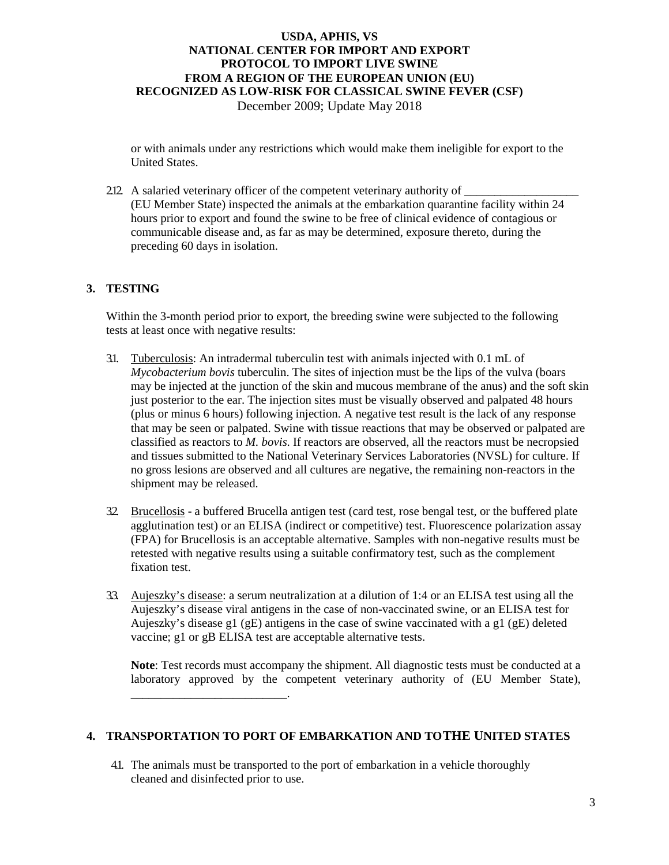December 2009; Update May 2018

or with animals under any restrictions which would make them ineligible for export to the United States.

2.12. A salaried veterinary officer of the competent veterinary authority of (EU Member State) inspected the animals at the embarkation quarantine facility within 24 hours prior to export and found the swine to be free of clinical evidence of contagious or communicable disease and, as far as may be determined, exposure thereto, during the preceding 60 days in isolation.

### **3. TESTING**

Within the 3-month period prior to export, the breeding swine were subjected to the following tests at least once with negative results:

- 3.1. Tuberculosis: An intradermal tuberculin test with animals injected with 0.1 mL of *Mycobacterium bovis* tuberculin. The sites of injection must be the lips of the vulva (boars may be injected at the junction of the skin and mucous membrane of the anus) and the soft skin just posterior to the ear. The injection sites must be visually observed and palpated 48 hours (plus or minus 6 hours) following injection. A negative test result is the lack of any response that may be seen or palpated. Swine with tissue reactions that may be observed or palpated are classified as reactors to *M. bovis*. If reactors are observed, all the reactors must be necropsied and tissues submitted to the National Veterinary Services Laboratories (NVSL) for culture. If no gross lesions are observed and all cultures are negative, the remaining non-reactors in the shipment may be released.
- 3.2. Brucellosis a buffered Brucella antigen test (card test, rose bengal test, or the buffered plate agglutination test) or an ELISA (indirect or competitive) test. Fluorescence polarization assay (FPA) for Brucellosis is an acceptable alternative. Samples with non-negative results must be retested with negative results using a suitable confirmatory test, such as the complement fixation test.
- 3.3. Aujeszky's disease: a serum neutralization at a dilution of 1:4 or an ELISA test using all the Aujeszky's disease viral antigens in the case of non-vaccinated swine, or an ELISA test for Aujeszky's disease g1 (gE) antigens in the case of swine vaccinated with a g1 (gE) deleted vaccine; g1 or gB ELISA test are acceptable alternative tests.

**Note**: Test records must accompany the shipment. All diagnostic tests must be conducted at a laboratory approved by the competent veterinary authority of (EU Member State),

#### **4. TRANSPORTATION TO PORT OF EMBARKATION AND TOTHE UNITED STATES**

4.1. The animals must be transported to the port of embarkation in a vehicle thoroughly cleaned and disinfected prior to use.

\_\_\_\_\_\_\_\_\_\_\_\_\_\_\_\_\_\_\_\_\_\_\_\_\_\_.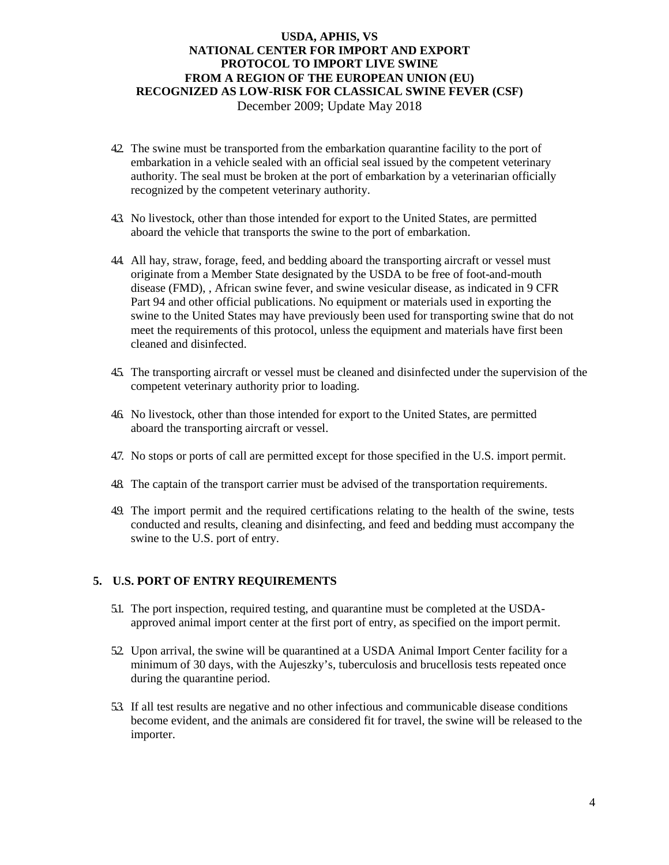December 2009; Update May 2018

- 4.2. The swine must be transported from the embarkation quarantine facility to the port of embarkation in a vehicle sealed with an official seal issued by the competent veterinary authority. The seal must be broken at the port of embarkation by a veterinarian officially recognized by the competent veterinary authority.
- 4.3. No livestock, other than those intended for export to the United States, are permitted aboard the vehicle that transports the swine to the port of embarkation.
- 4.4. All hay, straw, forage, feed, and bedding aboard the transporting aircraft or vessel must originate from a Member State designated by the USDA to be free of foot-and-mouth disease (FMD), , African swine fever, and swine vesicular disease, as indicated in 9 CFR Part 94 and other official publications. No equipment or materials used in exporting the swine to the United States may have previously been used for transporting swine that do not meet the requirements of this protocol, unless the equipment and materials have first been cleaned and disinfected.
- 4.5. The transporting aircraft or vessel must be cleaned and disinfected under the supervision of the competent veterinary authority prior to loading.
- 4.6. No livestock, other than those intended for export to the United States, are permitted aboard the transporting aircraft or vessel.
- 4.7. No stops or ports of call are permitted except for those specified in the U.S. import permit.
- 4.8. The captain of the transport carrier must be advised of the transportation requirements.
- 4.9. The import permit and the required certifications relating to the health of the swine, tests conducted and results, cleaning and disinfecting, and feed and bedding must accompany the swine to the U.S. port of entry.

### **5. U.S. PORT OF ENTRY REQUIREMENTS**

- 5.1. The port inspection, required testing, and quarantine must be completed at the USDAapproved animal import center at the first port of entry, as specified on the import permit.
- 52. Upon arrival, the swine will be quarantined at a USDA Animal Import Center facility for a minimum of 30 days, with the Aujeszky's, tuberculosis and brucellosis tests repeated once during the quarantine period.
- 5.3. If all test results are negative and no other infectious and communicable disease conditions become evident, and the animals are considered fit for travel, the swine will be released to the importer.